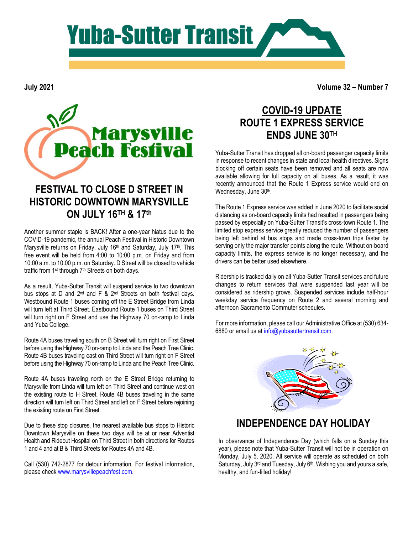

**July 2021**

**Volume 32 – Number 7**



#### **FESTIVAL TO CLOSE D STREET IN HISTORIC DOWNTOWN MARYSVILLE ON JULY 16TH & 17th**

Another summer staple is BACK! After a one-year hiatus due to the COVID-19 pandemic, the annual Peach Festival in Historic Downtown Marysville returns on Friday, July 16<sup>th</sup> and Saturday, July 17<sup>th</sup>. This free event will be held from 4:00 to 10:00 p.m. on Friday and from 10:00 a.m. to 10:00 p.m. on Saturday. D Street will be closed to vehicle traffic from 1st through 7th Streets on both days.

As a result, Yuba-Sutter Transit will suspend service to two downtown bus stops at D and 2<sup>nd</sup> and F & 2<sup>nd</sup> Streets on both festival days. Westbound Route 1 buses coming off the E Street Bridge from Linda will turn left at Third Street. Eastbound Route 1 buses on Third Street will turn right on F Street and use the Highway 70 on-ramp to Linda and Yuba College.

Route 4A buses traveling south on B Street will turn right on First Street before using the Highway 70 on-ramp to Linda and the Peach Tree Clinic. Route 4B buses traveling east on Third Street will turn right on F Street before using the Highway 70 on-ramp to Linda and the Peach Tree Clinic.

Route 4A buses traveling north on the E Street Bridge returning to Marysville from Linda will turn left on Third Street and continue west on the existing route to H Street. Route 4B buses traveling in the same direction will turn left on Third Street and left on F Street before rejoining the existing route on First Street.

Due to these stop closures, the nearest available bus stops to Historic Downtown Marysville on these two days will be at or near Adventist Health and Rideout Hospital on Third Street in both directions for Routes 1 and 4 and at B & Third Streets for Routes 4A and 4B.

Call (530) 742-2877 for detour information. For festival information, please check [www.marysvillepeachfest.com.](http://www.marysvillepeachfest.com/)

## **COVID-19 UPDATE ROUTE 1 EXPRESS SERVICE ENDS JUNE 30TH**

Yuba-Sutter Transit has dropped all on-board passenger capacity limits in response to recent changes in state and local health directives. Signs blocking off certain seats have been removed and all seats are now available allowing for full capacity on all buses. As a result, it was recently announced that the Route 1 Express service would end on Wednesday, June 30th.

The Route 1 Express service was added in June 2020 to facilitate social distancing as on-board capacity limits had resulted in passengers being passed by especially on Yuba-Sutter Transit's cross-town Route 1. The limited stop express service greatly reduced the number of passengers being left behind at bus stops and made cross-town trips faster by serving only the major transfer points along the route. Without on-board capacity limits, the express service is no longer necessary, and the drivers can be better used elsewhere.

Ridership is tracked daily on all Yuba-Sutter Transit services and future changes to return services that were suspended last year will be considered as ridership grows. Suspended services include half-hour weekday service frequency on Route 2 and several morning and afternoon Sacramento Commuter schedules.

For more information, please call our Administrative Office at (530) 634- 6880 or email us a[t info@yubasuttertransit.com.](mailto:info@yubasuttertransit.com)



#### **INDEPENDENCE DAY HOLIDAY**

In observance of Independence Day (which falls on a Sunday this year), please note that Yuba-Sutter Transit will not be in operation on Monday, July 5, 2020. All service will operate as scheduled on both Saturday, July 3<sup>rd</sup> and Tuesday, July 6<sup>th</sup>. Wishing you and yours a safe, healthy, and fun-filled holiday!